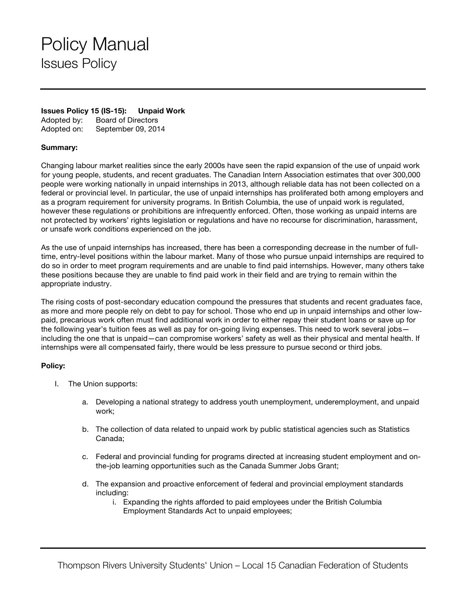## Policy Manual Issues Policy

## **Issues Policy 15 (IS-15): Unpaid Work** Adopted by: Board of Directors

Adopted on: September 09, 2014

## **Summary:**

Changing labour market realities since the early 2000s have seen the rapid expansion of the use of unpaid work for young people, students, and recent graduates. The Canadian Intern Association estimates that over 300,000 people were working nationally in unpaid internships in 2013, although reliable data has not been collected on a federal or provincial level. In particular, the use of unpaid internships has proliferated both among employers and as a program requirement for university programs. In British Columbia, the use of unpaid work is regulated, however these regulations or prohibitions are infrequently enforced. Often, those working as unpaid interns are not protected by workers' rights legislation or regulations and have no recourse for discrimination, harassment, or unsafe work conditions experienced on the job.

As the use of unpaid internships has increased, there has been a corresponding decrease in the number of fulltime, entry-level positions within the labour market. Many of those who pursue unpaid internships are required to do so in order to meet program requirements and are unable to find paid internships. However, many others take these positions because they are unable to find paid work in their field and are trying to remain within the appropriate industry.

The rising costs of post-secondary education compound the pressures that students and recent graduates face, as more and more people rely on debt to pay for school. Those who end up in unpaid internships and other lowpaid, precarious work often must find additional work in order to either repay their student loans or save up for the following year's tuition fees as well as pay for on-going living expenses. This need to work several jobs including the one that is unpaid—can compromise workers' safety as well as their physical and mental health. If internships were all compensated fairly, there would be less pressure to pursue second or third jobs.

## **Policy:**

- I. The Union supports:
	- a. Developing a national strategy to address youth unemployment, underemployment, and unpaid work;
	- b. The collection of data related to unpaid work by public statistical agencies such as Statistics Canada;
	- c. Federal and provincial funding for programs directed at increasing student employment and onthe-job learning opportunities such as the Canada Summer Jobs Grant;
	- d. The expansion and proactive enforcement of federal and provincial employment standards including:
		- i. Expanding the rights afforded to paid employees under the British Columbia Employment Standards Act to unpaid employees;